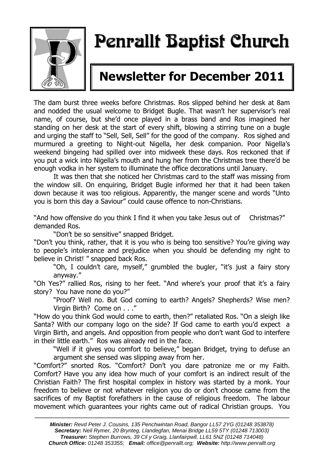

# Penrallt Baptist Church

# **Newsletter for December 2011**

The dam burst three weeks before Christmas. Ros slipped behind her desk at 8am and nodded the usual welcome to Bridget Bugle. That wasn't her supervisor's real name, of course, but she'd once played in a brass band and Ros imagined her standing on her desk at the start of every shift, blowing a stirring tune on a bugle and urging the staff to "Sell, Sell, Sell" for the good of the company. Ros sighed and murmured a greeting to Night-out Nigella, her desk companion. Poor Nigella's weekend bingeing had spilled over into midweek these days. Ros reckoned that if you put a wick into Nigella's mouth and hung her from the Christmas tree there'd be enough vodka in her system to illuminate the office decorations until January.

It was then that she noticed her Christmas card to the staff was missing from the window sill. On enquiring, Bridget Bugle informed her that it had been taken down because it was too religious. Apparently, the manger scene and words "Unto you is born this day a Saviour" could cause offence to non-Christians.

"And how offensive do you think I find it when you take Jesus out of Christmas?" demanded Ros.

"Don't be so sensitive" snapped Bridget.

"Don't you think, rather, that it is you who is being too sensitive? You're giving way to people's intolerance and prejudice when you should be defending my right to believe in Christ! " snapped back Ros.

"Oh, I couldn't care, myself," grumbled the bugler, "it's just a fairy story anyway."

"Oh Yes?" rallied Ros, rising to her feet. "And where's your proof that it's a fairy story? You have none do you?"

"Proof? Well no. But God coming to earth? Angels? Shepherds? Wise men? Virgin Birth? Come on . . ."

"How do you think God would come to earth, then?" retaliated Ros. "On a sleigh like Santa? With our company logo on the side? If God came to earth you'd expect a Virgin Birth, and angels. And opposition from people who don't want God to interfere in their little earth." Ros was already red in the face.

"Well if it gives you comfort to believe," began Bridget, trying to defuse an argument she sensed was slipping away from her.

"Comfort?" snorted Ros. "Comfort? Don't you dare patronize me or my Faith. Comfort? Have you any idea how much of your comfort is an indirect result of the Christian Faith? The first hospital complex in history was started by a monk. Your freedom to believe or not whatever religion you do or don't choose came from the sacrifices of my Baptist forefathers in the cause of religious freedom. The labour movement which guarantees your rights came out of radical Christian groups. You

———————————————————————————————————————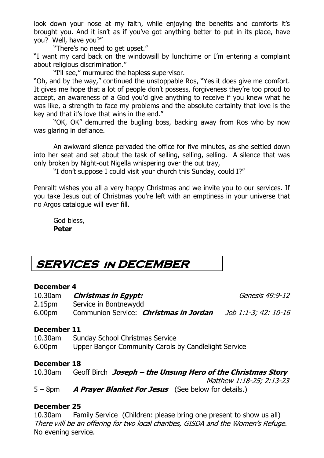look down your nose at my faith, while enjoying the benefits and comforts it's brought you. And it isn't as if you've got anything better to put in its place, have you? Well, have you?"

"There's no need to get upset."

"I want my card back on the windowsill by lunchtime or I'm entering a complaint about religious discrimination."

"I'll see," murmured the hapless supervisor.

"Oh, and by the way," continued the unstoppable Ros, "Yes it does give me comfort. It gives me hope that a lot of people don't possess, forgiveness they're too proud to accept, an awareness of a God you'd give anything to receive if you knew what he was like, a strength to face my problems and the absolute certainty that love is the key and that it's love that wins in the end."

"OK, OK" demurred the bugling boss, backing away from Ros who by now was glaring in defiance.

An awkward silence pervaded the office for five minutes, as she settled down into her seat and set about the task of selling, selling, selling. A silence that was only broken by Night-out Nigella whispering over the out tray,

"I don't suppose I could visit your church this Sunday, could I?"

Penrallt wishes you all a very happy Christmas and we invite you to our services. If you take Jesus out of Christmas you're left with an emptiness in your universe that no Argos catalogue will ever fill.

God bless, **Peter**

# **SERVICES in DECEMBER**

#### **December 4**

| 10.30am            | Christmas in Egypt:                           | Genesis 49:9-12      |
|--------------------|-----------------------------------------------|----------------------|
| 2.15 <sub>pm</sub> | Service in Bontnewydd                         |                      |
| 6.00 <sub>pm</sub> | Communion Service: <i>Christmas in Jordan</i> | Job 1:1-3; 42: 10-16 |

#### **December 11**

10.30am Sunday School Christmas Service 6.00pm Upper Bangor Community Carols by Candlelight Service

#### **December 18**

| $10.30$ am | Geoff Birch Joseph – the Unsung Hero of the Christmas Story |
|------------|-------------------------------------------------------------|
|            | Matthew 1:18-25; 2:13-23                                    |
| $5 - 8$ pm | <b>A Prayer Blanket For Jesus</b> (See below for details.)  |

#### **December 25**

10.30am Family Service (Children: please bring one present to show us all) There will be an offering for two local charities, GISDA and the Women's Refuge. No evening service.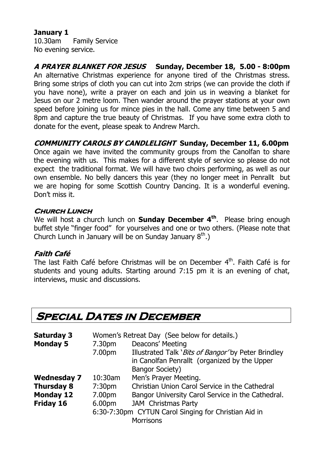#### **January 1**

10.30am Family Service No evening service.

**A PRAYER BLANKET FOR JESUS Sunday, December 18, 5.00 - 8:00pm** An alternative Christmas experience for anyone tired of the Christmas stress. Bring some strips of cloth you can cut into 2cm strips (we can provide the cloth if you have none), write a prayer on each and join us in weaving a blanket for Jesus on our 2 metre loom. Then wander around the prayer stations at your own speed before joining us for mince pies in the hall. Come any time between 5 and 8pm and capture the true beauty of Christmas. If you have some extra cloth to donate for the event, please speak to Andrew March.

#### **COMMUNITY CAROLS BY CANDLELIGHT Sunday, December 11, 6.00pm**

Once again we have invited the community groups from the Canolfan to share the evening with us. This makes for a different style of service so please do not expect the traditional format. We will have two choirs performing, as well as our own ensemble. No belly dancers this year (they no longer meet in Penrallt but we are hoping for some Scottish Country Dancing. It is a wonderful evening. Don't miss it.

#### **Church Lunch**

We will host a church lunch on **Sunday December 4th**. Please bring enough buffet style "finger food" for yourselves and one or two others. (Please note that Church Lunch in January will be on Sunday January  $8^{\text{th}}$ .)

#### **Faith Café**

The last Faith Café before Christmas will be on December 4<sup>th</sup>. Faith Café is for students and young adults. Starting around 7:15 pm it is an evening of chat, interviews, music and discussions.

### **Special Dates in December**

| <b>Saturday 3</b>                                    | Women's Retreat Day (See below for details.) |                                                     |  |  |
|------------------------------------------------------|----------------------------------------------|-----------------------------------------------------|--|--|
| <b>Monday 5</b>                                      | 7.30pm                                       | Deacons' Meeting                                    |  |  |
|                                                      | 7.00pm                                       | Illustrated Talk 'Bits of Bangor' by Peter Brindley |  |  |
|                                                      |                                              | in Canolfan Penrallt (organized by the Upper        |  |  |
|                                                      |                                              | <b>Bangor Society)</b>                              |  |  |
| <b>Wednesday 7</b>                                   | $10:30$ am                                   | Men's Prayer Meeting.                               |  |  |
| <b>Thursday 8</b>                                    | 7:30 <sub>pm</sub>                           | Christian Union Carol Service in the Cathedral      |  |  |
| <b>Monday 12</b>                                     | 7.00pm                                       | Bangor University Carol Service in the Cathedral.   |  |  |
| Friday 16                                            | 6.00pm                                       | <b>JAM</b> Christmas Party                          |  |  |
| 6:30-7:30pm CYTUN Carol Singing for Christian Aid in |                                              |                                                     |  |  |
| <b>Morrisons</b>                                     |                                              |                                                     |  |  |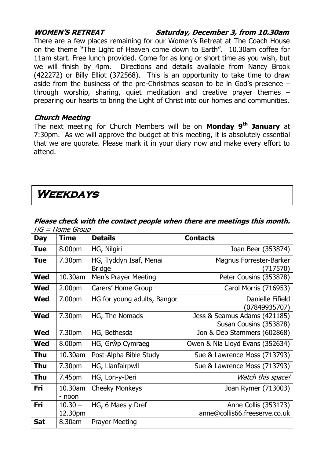#### **WOMEN'S RETREAT Saturday, December 3, from 10.30am**

There are a few places remaining for our Women's Retreat at The Coach House on the theme "The Light of Heaven come down to Earth". 10.30am coffee for 11am start. Free lunch provided. Come for as long or short time as you wish, but we will finish by 4pm. Directions and details available from Nancy Brook (422272) or Billy Elliot (372568). This is an opportunity to take time to draw aside from the business of the pre-Christmas season to be in God's presence – through worship, sharing, quiet meditation and creative prayer themes – preparing our hearts to bring the Light of Christ into our homes and communities.

#### **Church Meeting**

The next meeting for Church Members will be on **Monday 9th January** at 7:30pm. As we will approve the budget at this meeting, it is absolutely essential that we are quorate. Please mark it in your diary now and make every effort to attend.

# **Weekdays**

| <b>Day</b> | <b>Time</b>          | <b>Details</b>                          | <b>Contacts</b>                                        |
|------------|----------------------|-----------------------------------------|--------------------------------------------------------|
| <b>Tue</b> | 8.00pm               | HG, Nilgiri                             | Joan Beer (353874)                                     |
| <b>Tue</b> | 7.30pm               | HG, Tyddyn Isaf, Menai<br><b>Bridge</b> | Magnus Forrester-Barker<br>(717570)                    |
| <b>Wed</b> | 10.30am              | Men's Prayer Meeting                    | Peter Cousins (353878)                                 |
| <b>Wed</b> | 2.00 <sub>pm</sub>   | Carers' Home Group                      | Carol Morris (716953)                                  |
| <b>Wed</b> | 7.00pm               | HG for young adults, Bangor             | Danielle Fifield<br>(07849935707)                      |
| <b>Wed</b> | 7.30pm               | HG, The Nomads                          | Jess & Seamus Adams (421185)<br>Susan Cousins (353878) |
| <b>Wed</b> | 7.30pm               | HG, Bethesda                            | Jon & Deb Stammers (602868)                            |
| <b>Wed</b> | 8.00pm               | HG, Grŵp Cymraeg                        | Owen & Nia Lloyd Evans (352634)                        |
| Thu        | 10.30am              | Post-Alpha Bible Study                  | Sue & Lawrence Moss (713793)                           |
| Thu        | 7.30 <sub>pm</sub>   | HG, Llanfairpwll                        | Sue & Lawrence Moss (713793)                           |
| Thu        | 7.45pm               | HG, Lon-y-Deri                          | Watch this space!                                      |
| Fri        | 10.30am<br>- noon    | <b>Cheeky Monkeys</b>                   | Joan Rymer (713003)                                    |
| Fri        | $10.30 -$<br>12.30pm | HG, 6 Maes y Dref                       | Anne Collis (353173)<br>anne@collis66.freeserve.co.uk  |
| <b>Sat</b> | 8.30am               | <b>Prayer Meeting</b>                   |                                                        |

#### **Please check with the contact people when there are meetings this month.**   $HG = Home$  Group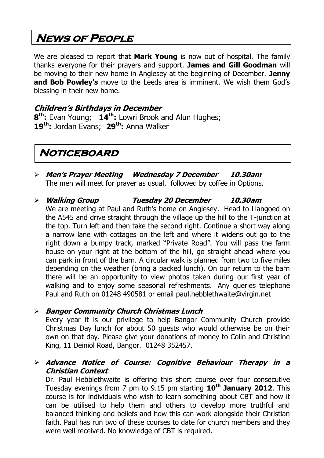# **News of People**

We are pleased to report that **Mark Young** is now out of hospital. The family thanks everyone for their prayers and support. **James and Gill Goodman** will be moving to their new home in Anglesey at the beginning of December. **Jenny and Bob Powley's** move to the Leeds area is imminent. We wish them God's blessing in their new home.

#### **Children's Birthdays in December**

**8 th:** Evan Young; **14th:** Lowri Brook and Alun Hughes; **19th:** Jordan Evans; **29th:** Anna Walker

## **Noticeboard**

- **Men's Prayer Meeting Wednesday 7 December 10.30am** The men will meet for prayer as usual, followed by coffee in Options.
- **Walking Group Tuesday 20 December 10.30am** We are meeting at Paul and Ruth's home on Anglesey. Head to Llangoed on the A545 and drive straight through the village up the hill to the T-junction at the top. Turn left and then take the second right. Continue a short way along a narrow lane with cottages on the left and where it widens out go to the right down a bumpy track, marked "Private Road". You will pass the farm house on your right at the bottom of the hill, go straight ahead where you can park in front of the barn. A circular walk is planned from two to five miles depending on the weather (bring a packed lunch). On our return to the barn there will be an opportunity to view photos taken during our first year of walking and to enjoy some seasonal refreshments. Any queries telephone Paul and Ruth on 01248 490581 or email [paul.hebblethwaite@virgin.net](mailto:paul.hebblethwaite@virgin.net)

#### **Bangor Community Church Christmas Lunch**

Every year it is our privilege to help Bangor Community Church provide Christmas Day lunch for about 50 guests who would otherwise be on their own on that day. Please give your donations of money to Colin and Christine King, 11 Deiniol Road, Bangor. 01248 352457.

 **Advance Notice of Course: Cognitive Behaviour Therapy in a Christian Context**

Dr. Paul Hebblethwaite is offering this short course over four consecutive Tuesday evenings from 7 pm to 9.15 pm starting **10th January 2012**. This course is for individuals who wish to learn something about CBT and how it can be utilised to help them and others to develop more truthful and balanced thinking and beliefs and how this can work alongside their Christian faith. Paul has run two of these courses to date for church members and they were well received. No knowledge of CBT is required.